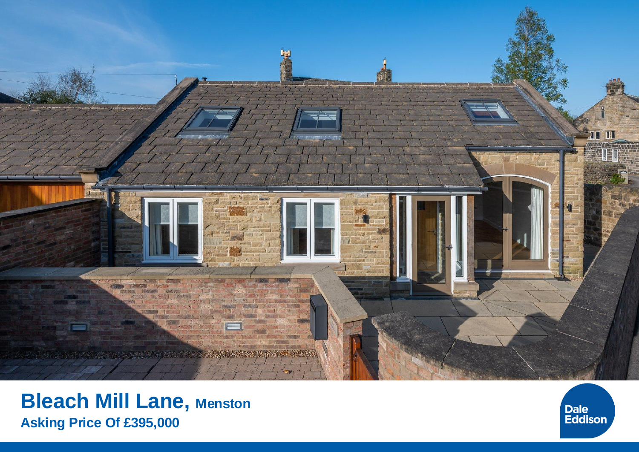

# **Bleach Mill Lane, Menston Asking Price Of £395,000**

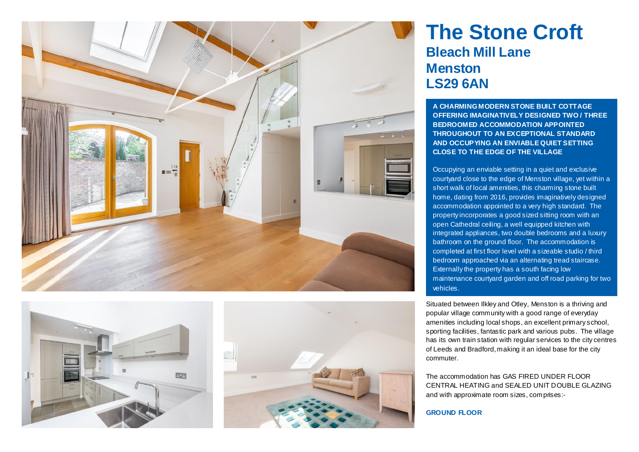





# **The Stone Croft Bleach Mill Lane Menston LS29 6AN**

**A CHARMING MODERN STONE BUILT COTTAGE OFFERING IMAGINATIVELY DESIGNED TWO / THREE BEDROOMED ACCOMMODATION APPOINTED THROUGHOUT TO AN EXCEPTIONAL STANDARD AND OCCUPYING AN ENVIABLE QUIET SETTING CLOSE TO THE EDGE OF THE VILLAGE**

Occupying an enviable setting in a quiet and exclusive courtyard close to the edge of Menston village, yet within a short walk of local amenities, this charming stone built home, dating from 2016, provides imaginatively designed accommodation appointed to a very high standard. The property incorporates a good sized sitting room with an open Cathedral ceiling, a well equipped kitchen with integrated appliances, two double bedrooms and a luxury bathroom on the ground floor. The accommodation is completed at first floor level with a sizeable studio / third bedroom approached via an alternating tread staircase. Externally the property has a south facing low maintenance courtyard garden and off road parking for two vehicles.

Situated between Ilkley and Otley, Menston is a thriving and popular village community with a good range of everyday amenities including local shops, an excellent primary school, sporting facilities, fantastic park and various pubs. The village has its own train station with regular services to the city centres of Leeds and Bradford, making it an ideal base for the city commuter.

The accommodation has GAS FIRED UNDER FLOOR CENTRAL HEATING and SEALED UNIT DOUBLE GLAZING and with approximate room sizes, comprises:-

## **GROUND FLOOR**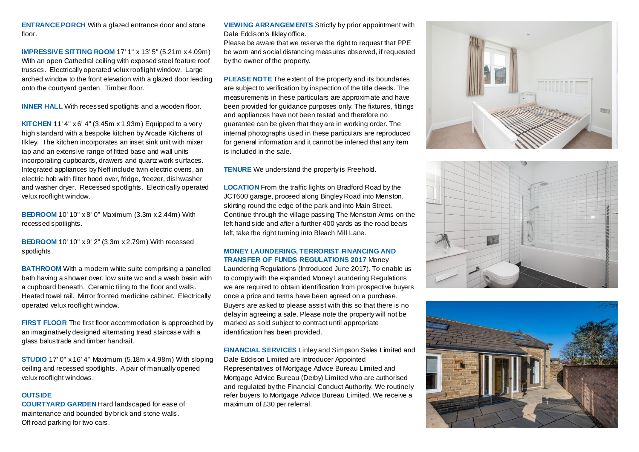**ENTRANCE PORCH** With a glazed entrance door and stone floor.

**IMPRESSIVE SITTING ROOM** 17' 1" x 13' 5" (5.21m x 4.09m) With an open Cathedral ceiling with exposed steel feature roof trusses. Electrically operated velux rooflight window. Large arched window to the front elevation with a glazed door leading onto the courtyard garden. Timber floor.

**INNER HALL** With recessed spotlights and a wooden floor.

**KITCHEN** 11' 4" x 6' 4" (3.45m x 1.93m) Equipped to a very high standard with a bespoke kitchen by Arcade Kitchens of Ilkley. The kitchen incorporates an inset sink unit with mixer tap and an extensive range of fitted base and wall units incorporating cupboards, drawers and quartz work surfaces. Integrated appliances by Neff include twin electric ovens, an electric hob with filter hood over, fridge, freezer, dishwasher and washer dryer. Recessed spotlights. Electrically operated velux rooflight window.

**BEDROOM** 10' 10" x 8' 0" Maximum (3.3m x 2.44m) With recessed spotlights.

**BEDROOM** 10' 10" x 9' 2" (3.3m x 2.79m) With recessed spotlights.

**BATHROOM** With a modern white suite comprising a panelled bath having a shower over, low suite wc and a wash basin with a cupboard beneath. Ceramic tiling to the floor and walls. Heated towel rail. Mirror fronted medicine cabinet. Electrically operated velux rooflight window.

**FIRST FLOOR** The first floor accommodation is approached by an imaginatively designed alternating tread staircase with a glass balustrade and timber handrail.

**STUDIO** 17' 0" x 16' 4" Maximum (5.18m x 4.98m) With sloping ceiling and recessed spotlights. A pair of manually opened velux rooflight windows.

### **OUTSIDE**

**COURTYARD GARDEN** Hard landscaped for ease of maintenance and bounded by brick and stone walls. Off road parking for two cars.

**VIEWING ARRANGEMENTS** Strictly by prior appointment with Dale Eddison's Ilkley office.

Please be aware that we reserve the right to request that PPE be worn and social distancing measures observed, if requested by the owner of the property.

**PLEASE NOTE** The extent of the property and its boundaries are subject to verification by inspection of the title deeds. The measurements in these particulars are approximate and have been provided for quidance purposes only. The fixtures, fittings and appliances have not been tested and therefore no guarantee can be given that they are in working order. The internal photographs used in these particulars are reproduced for general information and it cannot be inferred that any item is included in the sale.

**TENURE** We understand the property is Freehold.

**LOCATION** From the traffic lights on Bradford Road by the JCT600 garage, proceed along Bingley Road into Menston, skirting round the edge of the park and into Main Street. Continue through the village passing The Menston Arms on the left hand side and after a further 400 yards as the road bears left, take the right turning into Bleach Mill Lane.

#### **MONEY LAUNDERING, TERRORIST FINANCING AND TRANSFER OF FUNDS REGULATIONS 2017** Money

Laundering Regulations (Introduced June 2017). To enable us to comply with the expanded Money Laundering Regulations we are required to obtain identification from prospective buyers once a price and terms have been agreed on a purchase. Buyers are asked to please assist with this so that there is no delay in agreeing a sale. Please note the property will not be marked as sold subject to contract until appropriate identification has been provided.

**FINANCIAL SERVICES** Linley and Simpson Sales Limited and Dale Eddison Limited are Introducer Appointed Representatives of Mortgage Advice Bureau Limited and Mortgage Advice Bureau (Derby) Limited who are authorised and regulated by the Financial Conduct Authority. We routinely refer buyers to Mortgage Advice Bureau Limited. We receive a maximum of £30 per referral.